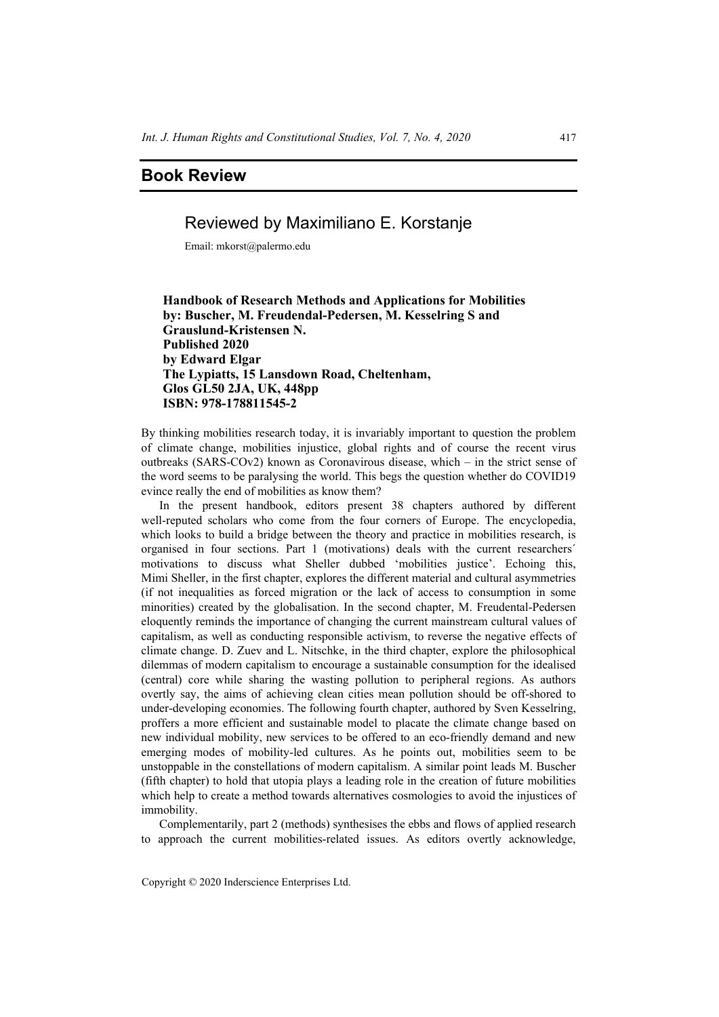## **Book Review**

## Reviewed by Maximiliano E. Korstanje

Email: mkorst@palermo.edu

## **Handbook of Research Methods and Applications for Mobilities by: Buscher, M. Freudendal-Pedersen, M. Kesselring S and Grauslund-Kristensen N. Published 2020 by Edward Elgar The Lypiatts, 15 Lansdown Road, Cheltenham, Glos GL50 2JA, UK, 448pp ISBN: 978-178811545-2**

By thinking mobilities research today, it is invariably important to question the problem of climate change, mobilities injustice, global rights and of course the recent virus outbreaks (SARS-COv2) known as Coronavirous disease, which – in the strict sense of the word seems to be paralysing the world. This begs the question whether do COVID19 evince really the end of mobilities as know them?

In the present handbook, editors present 38 chapters authored by different well-reputed scholars who come from the four corners of Europe. The encyclopedia, which looks to build a bridge between the theory and practice in mobilities research, is organised in four sections. Part 1 (motivations) deals with the current researchers´ motivations to discuss what Sheller dubbed 'mobilities justice'. Echoing this, Mimi Sheller, in the first chapter, explores the different material and cultural asymmetries (if not inequalities as forced migration or the lack of access to consumption in some minorities) created by the globalisation. In the second chapter, M. Freudental-Pedersen eloquently reminds the importance of changing the current mainstream cultural values of capitalism, as well as conducting responsible activism, to reverse the negative effects of climate change. D. Zuev and L. Nitschke, in the third chapter, explore the philosophical dilemmas of modern capitalism to encourage a sustainable consumption for the idealised (central) core while sharing the wasting pollution to peripheral regions. As authors overtly say, the aims of achieving clean cities mean pollution should be off-shored to under-developing economies. The following fourth chapter, authored by Sven Kesselring, proffers a more efficient and sustainable model to placate the climate change based on new individual mobility, new services to be offered to an eco-friendly demand and new emerging modes of mobility-led cultures. As he points out, mobilities seem to be unstoppable in the constellations of modern capitalism. A similar point leads M. Buscher (fifth chapter) to hold that utopia plays a leading role in the creation of future mobilities which help to create a method towards alternatives cosmologies to avoid the injustices of immobility.

Complementarily, part 2 (methods) synthesises the ebbs and flows of applied research to approach the current mobilities-related issues. As editors overtly acknowledge,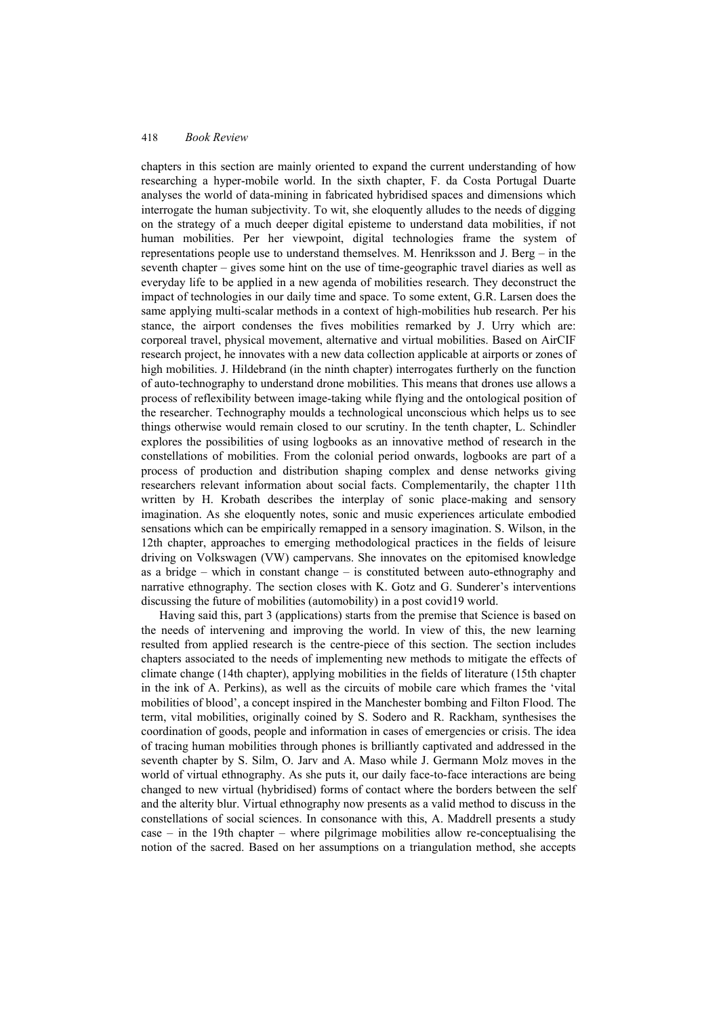chapters in this section are mainly oriented to expand the current understanding of how researching a hyper-mobile world. In the sixth chapter, F. da Costa Portugal Duarte analyses the world of data-mining in fabricated hybridised spaces and dimensions which interrogate the human subjectivity. To wit, she eloquently alludes to the needs of digging on the strategy of a much deeper digital episteme to understand data mobilities, if not human mobilities. Per her viewpoint, digital technologies frame the system of representations people use to understand themselves. M. Henriksson and J. Berg – in the seventh chapter – gives some hint on the use of time-geographic travel diaries as well as everyday life to be applied in a new agenda of mobilities research. They deconstruct the impact of technologies in our daily time and space. To some extent, G.R. Larsen does the same applying multi-scalar methods in a context of high-mobilities hub research. Per his stance, the airport condenses the fives mobilities remarked by J. Urry which are: corporeal travel, physical movement, alternative and virtual mobilities. Based on AirCIF research project, he innovates with a new data collection applicable at airports or zones of high mobilities. J. Hildebrand (in the ninth chapter) interrogates furtherly on the function of auto-technography to understand drone mobilities. This means that drones use allows a process of reflexibility between image-taking while flying and the ontological position of the researcher. Technography moulds a technological unconscious which helps us to see things otherwise would remain closed to our scrutiny. In the tenth chapter, L. Schindler explores the possibilities of using logbooks as an innovative method of research in the constellations of mobilities. From the colonial period onwards, logbooks are part of a process of production and distribution shaping complex and dense networks giving researchers relevant information about social facts. Complementarily, the chapter 11th written by H. Krobath describes the interplay of sonic place-making and sensory imagination. As she eloquently notes, sonic and music experiences articulate embodied sensations which can be empirically remapped in a sensory imagination. S. Wilson, in the 12th chapter, approaches to emerging methodological practices in the fields of leisure driving on Volkswagen (VW) campervans. She innovates on the epitomised knowledge as a bridge – which in constant change – is constituted between auto-ethnography and narrative ethnography. The section closes with K. Gotz and G. Sunderer's interventions discussing the future of mobilities (automobility) in a post covid19 world.

Having said this, part 3 (applications) starts from the premise that Science is based on the needs of intervening and improving the world. In view of this, the new learning resulted from applied research is the centre-piece of this section. The section includes chapters associated to the needs of implementing new methods to mitigate the effects of climate change (14th chapter), applying mobilities in the fields of literature (15th chapter in the ink of A. Perkins), as well as the circuits of mobile care which frames the 'vital mobilities of blood', a concept inspired in the Manchester bombing and Filton Flood. The term, vital mobilities, originally coined by S. Sodero and R. Rackham, synthesises the coordination of goods, people and information in cases of emergencies or crisis. The idea of tracing human mobilities through phones is brilliantly captivated and addressed in the seventh chapter by S. Silm, O. Jarv and A. Maso while J. Germann Molz moves in the world of virtual ethnography. As she puts it, our daily face-to-face interactions are being changed to new virtual (hybridised) forms of contact where the borders between the self and the alterity blur. Virtual ethnography now presents as a valid method to discuss in the constellations of social sciences. In consonance with this, A. Maddrell presents a study case – in the 19th chapter – where pilgrimage mobilities allow re-conceptualising the notion of the sacred. Based on her assumptions on a triangulation method, she accepts